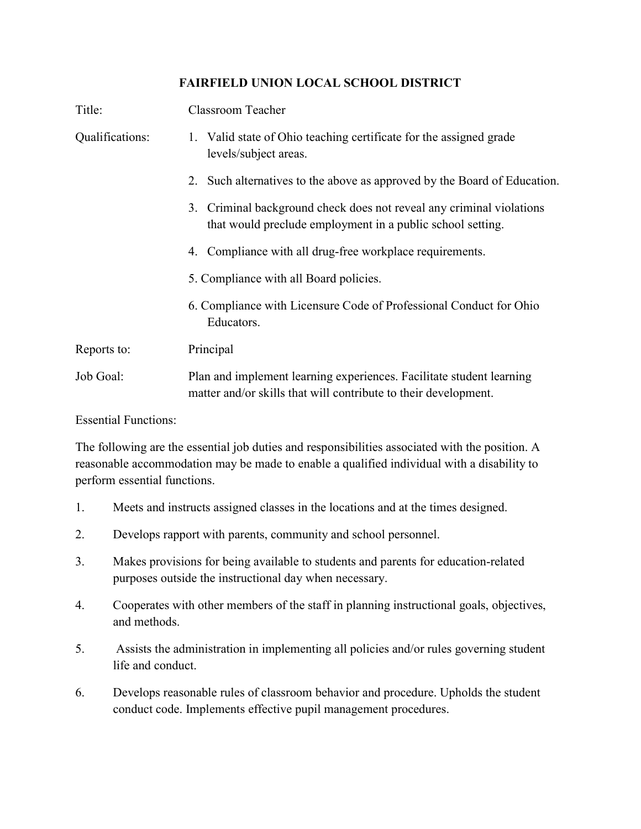## FAIRFIELD UNION LOCAL SCHOOL DISTRICT

| Title:          | <b>Classroom Teacher</b>                                                                                                                |
|-----------------|-----------------------------------------------------------------------------------------------------------------------------------------|
| Qualifications: | 1. Valid state of Ohio teaching certificate for the assigned grade<br>levels/subject areas.                                             |
|                 | Such alternatives to the above as approved by the Board of Education.<br>2.                                                             |
|                 | Criminal background check does not reveal any criminal violations<br>3.<br>that would preclude employment in a public school setting.   |
|                 | 4. Compliance with all drug-free workplace requirements.                                                                                |
|                 | 5. Compliance with all Board policies.                                                                                                  |
|                 | 6. Compliance with Licensure Code of Professional Conduct for Ohio<br>Educators.                                                        |
| Reports to:     | Principal                                                                                                                               |
| Job Goal:       | Plan and implement learning experiences. Facilitate student learning<br>matter and/or skills that will contribute to their development. |

Essential Functions:

The following are the essential job duties and responsibilities associated with the position. A reasonable accommodation may be made to enable a qualified individual with a disability to perform essential functions.

- 1. Meets and instructs assigned classes in the locations and at the times designed.
- 2. Develops rapport with parents, community and school personnel.
- 3. Makes provisions for being available to students and parents for education-related purposes outside the instructional day when necessary.
- 4. Cooperates with other members of the staff in planning instructional goals, objectives, and methods.
- 5. Assists the administration in implementing all policies and/or rules governing student life and conduct.
- 6. Develops reasonable rules of classroom behavior and procedure. Upholds the student conduct code. Implements effective pupil management procedures.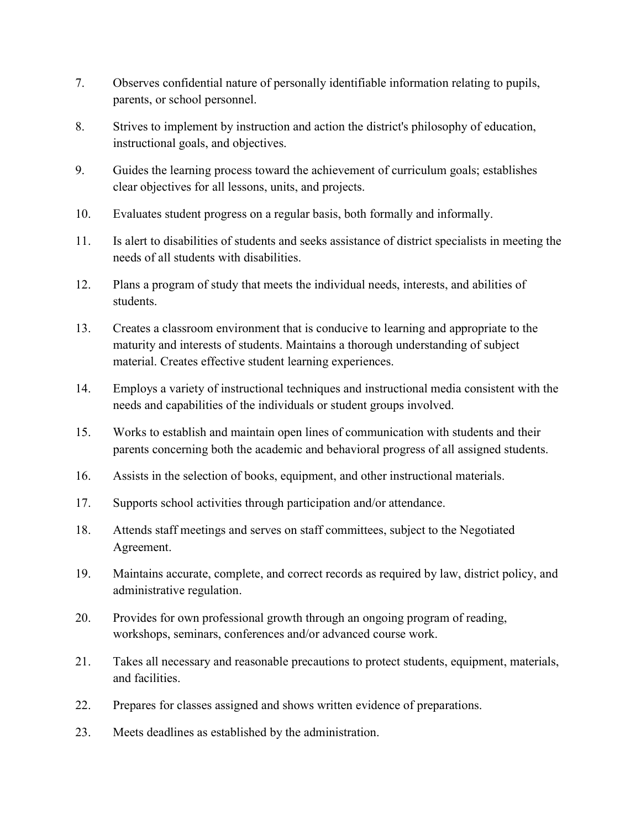- 7. Observes confidential nature of personally identifiable information relating to pupils, parents, or school personnel.
- 8. Strives to implement by instruction and action the district's philosophy of education, instructional goals, and objectives.
- 9. Guides the learning process toward the achievement of curriculum goals; establishes clear objectives for all lessons, units, and projects.
- 10. Evaluates student progress on a regular basis, both formally and informally.
- 11. Is alert to disabilities of students and seeks assistance of district specialists in meeting the needs of all students with disabilities.
- 12. Plans a program of study that meets the individual needs, interests, and abilities of students.
- 13. Creates a classroom environment that is conducive to learning and appropriate to the maturity and interests of students. Maintains a thorough understanding of subject material. Creates effective student learning experiences.
- 14. Employs a variety of instructional techniques and instructional media consistent with the needs and capabilities of the individuals or student groups involved.
- 15. Works to establish and maintain open lines of communication with students and their parents concerning both the academic and behavioral progress of all assigned students.
- 16. Assists in the selection of books, equipment, and other instructional materials.
- 17. Supports school activities through participation and/or attendance.
- 18. Attends staff meetings and serves on staff committees, subject to the Negotiated Agreement.
- 19. Maintains accurate, complete, and correct records as required by law, district policy, and administrative regulation.
- 20. Provides for own professional growth through an ongoing program of reading, workshops, seminars, conferences and/or advanced course work.
- 21. Takes all necessary and reasonable precautions to protect students, equipment, materials, and facilities.
- 22. Prepares for classes assigned and shows written evidence of preparations.
- 23. Meets deadlines as established by the administration.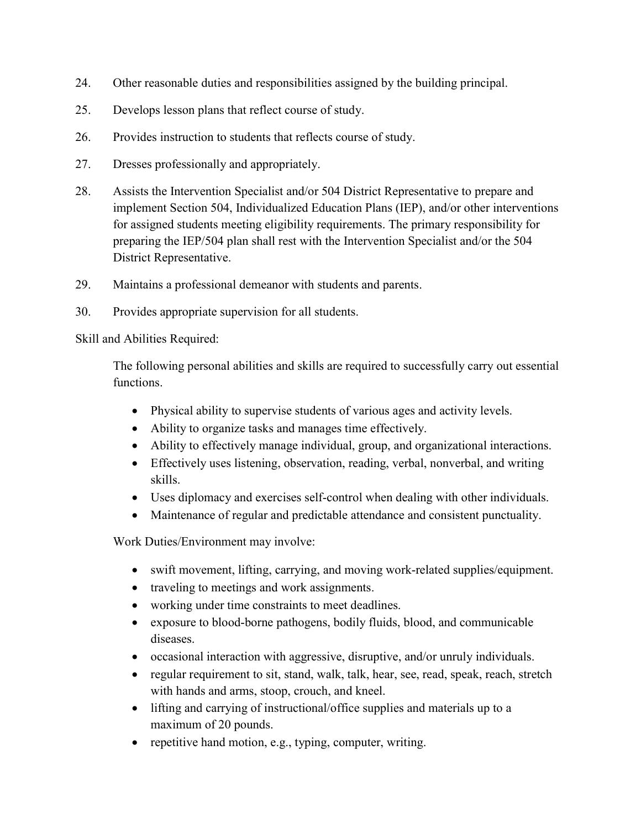- 24. Other reasonable duties and responsibilities assigned by the building principal.
- 25. Develops lesson plans that reflect course of study.
- 26. Provides instruction to students that reflects course of study.
- 27. Dresses professionally and appropriately.
- 28. Assists the Intervention Specialist and/or 504 District Representative to prepare and implement Section 504, Individualized Education Plans (IEP), and/or other interventions for assigned students meeting eligibility requirements. The primary responsibility for preparing the IEP/504 plan shall rest with the Intervention Specialist and/or the 504 District Representative.
- 29. Maintains a professional demeanor with students and parents.
- 30. Provides appropriate supervision for all students.

Skill and Abilities Required:

The following personal abilities and skills are required to successfully carry out essential functions.

- Physical ability to supervise students of various ages and activity levels.
- Ability to organize tasks and manages time effectively.
- Ability to effectively manage individual, group, and organizational interactions.
- Effectively uses listening, observation, reading, verbal, nonverbal, and writing skills.
- Uses diplomacy and exercises self-control when dealing with other individuals.
- Maintenance of regular and predictable attendance and consistent punctuality.

Work Duties/Environment may involve:

- swift movement, lifting, carrying, and moving work-related supplies/equipment.
- traveling to meetings and work assignments.
- working under time constraints to meet deadlines.
- exposure to blood-borne pathogens, bodily fluids, blood, and communicable diseases.
- occasional interaction with aggressive, disruptive, and/or unruly individuals.
- regular requirement to sit, stand, walk, talk, hear, see, read, speak, reach, stretch with hands and arms, stoop, crouch, and kneel.
- lifting and carrying of instructional/office supplies and materials up to a maximum of 20 pounds.
- repetitive hand motion, e.g., typing, computer, writing.